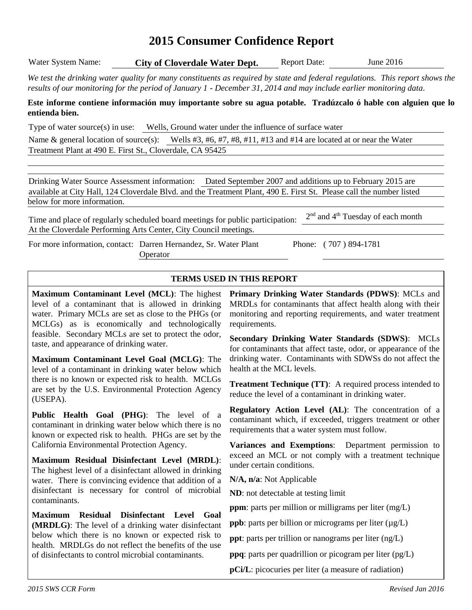# **2015 Consumer Confidence Report**

| Water System Name: | <b>City of Cloverdale Water Dept.</b> | <b>Report Date:</b> | June $2016$ |  |
|--------------------|---------------------------------------|---------------------|-------------|--|
|                    |                                       |                     |             |  |

*We test the drinking water quality for many constituents as required by state and federal regulations. This report shows the results of our monitoring for the period of January 1 - December 31, 2014 and may include earlier monitoring data.*

#### **Este informe contiene información muy importante sobre su agua potable. Tradúzcalo ó hable con alguien que lo entienda bien.**

Type of water source(s) in use: Wells, Ground water under the influence of surface water

Name & general location of source(s): Wells #3, #6, #7, #8, #11, #13 and #14 are located at or near the Water Treatment Plant at 490 E. First St., Cloverdale, CA 95425

Drinking Water Source Assessment information: Dated September 2007 and additions up to February 2015 are available at City Hall, 124 Cloverdale Blvd. and the Treatment Plant, 490 E. First St. Please call the number listed below for more information.

Time and place of regularly scheduled board meetings for public participation: 2<sup>nd</sup> and 4<sup>th</sup> Tuesday of each month At the Cloverdale Performing Arts Center, City Council meetings.

For more information, contact: Darren Hernandez, Sr. Water Plant **Operator** 

Phone: ( 707 ) 894-1781

#### **TERMS USED IN THIS REPORT**

**Maximum Contaminant Level (MCL)**: The highest level of a contaminant that is allowed in drinking water. Primary MCLs are set as close to the PHGs (or MCLGs) as is economically and technologically feasible. Secondary MCLs are set to protect the odor, taste, and appearance of drinking water.

**Maximum Contaminant Level Goal (MCLG)**: The level of a contaminant in drinking water below which there is no known or expected risk to health. MCLGs are set by the U.S. Environmental Protection Agency (USEPA).

**Public Health Goal (PHG)**: The level of a contaminant in drinking water below which there is no known or expected risk to health. PHGs are set by the California Environmental Protection Agency.

**Maximum Residual Disinfectant Level (MRDL)**: The highest level of a disinfectant allowed in drinking water. There is convincing evidence that addition of a disinfectant is necessary for control of microbial contaminants.

**Maximum Residual Disinfectant Level Goal (MRDLG)**: The level of a drinking water disinfectant below which there is no known or expected risk to health. MRDLGs do not reflect the benefits of the use of disinfectants to control microbial contaminants.

**Primary Drinking Water Standards (PDWS)**: MCLs and MRDLs for contaminants that affect health along with their monitoring and reporting requirements, and water treatment requirements.

**Secondary Drinking Water Standards (SDWS)**:MCLs for contaminants that affect taste, odor, or appearance of the drinking water. Contaminants with SDWSs do not affect the health at the MCL levels.

**Treatment Technique (TT)**: A required process intended to reduce the level of a contaminant in drinking water.

**Regulatory Action Level (AL)**: The concentration of a contaminant which, if exceeded, triggers treatment or other requirements that a water system must follow.

**Variances and Exemptions**: Department permission to exceed an MCL or not comply with a treatment technique under certain conditions.

**N/A, n/a**: Not Applicable

**ND**: not detectable at testing limit

**ppm**: parts per million or milligrams per liter (mg/L)

**ppb**: parts per billion or micrograms per liter ( $\mu$ g/L)

**ppt**: parts per trillion or nanograms per liter (ng/L)

**ppq**: parts per quadrillion or picogram per liter (pg/L)

**pCi/L**: picocuries per liter (a measure of radiation)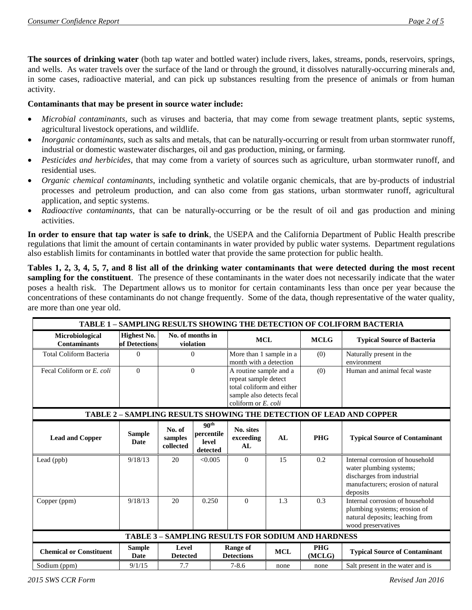**The sources of drinking water** (both tap water and bottled water) include rivers, lakes, streams, ponds, reservoirs, springs, and wells. As water travels over the surface of the land or through the ground, it dissolves naturally-occurring minerals and, in some cases, radioactive material, and can pick up substances resulting from the presence of animals or from human activity.

#### **Contaminants that may be present in source water include:**

- *Microbial contaminants*, such as viruses and bacteria, that may come from sewage treatment plants, septic systems, agricultural livestock operations, and wildlife.
- *Inorganic contaminants*, such as salts and metals, that can be naturally-occurring or result from urban stormwater runoff, industrial or domestic wastewater discharges, oil and gas production, mining, or farming.
- *Pesticides and herbicides*, that may come from a variety of sources such as agriculture, urban stormwater runoff, and residential uses.
- *Organic chemical contaminants*, including synthetic and volatile organic chemicals, that are by-products of industrial processes and petroleum production, and can also come from gas stations, urban stormwater runoff, agricultural application, and septic systems.
- *Radioactive contaminants*, that can be naturally-occurring or be the result of oil and gas production and mining activities.

**In order to ensure that tap water is safe to drink**, the USEPA and the California Department of Public Health prescribe regulations that limit the amount of certain contaminants in water provided by public water systems. Department regulations also establish limits for contaminants in bottled water that provide the same protection for public health.

**Tables 1, 2, 3, 4, 5, 7, and 8 list all of the drinking water contaminants that were detected during the most recent sampling for the constituent**. The presence of these contaminants in the water does not necessarily indicate that the water poses a health risk. The Department allows us to monitor for certain contaminants less than once per year because the concentrations of these contaminants do not change frequently. Some of the data, though representative of the water quality, are more than one year old.

| TABLE 1 - SAMPLING RESULTS SHOWING THE DETECTION OF COLIFORM BACTERIA |                                     |                                |                                                                                                                                             |                                      |                                                   |                                                           |                                                                                                                                           |  |
|-----------------------------------------------------------------------|-------------------------------------|--------------------------------|---------------------------------------------------------------------------------------------------------------------------------------------|--------------------------------------|---------------------------------------------------|-----------------------------------------------------------|-------------------------------------------------------------------------------------------------------------------------------------------|--|
| Microbiological<br><b>Contaminants</b>                                | <b>Highest No.</b><br>of Detections |                                | No. of months in<br>violation                                                                                                               | <b>MCL</b>                           |                                                   | <b>MCLG</b>                                               | <b>Typical Source of Bacteria</b>                                                                                                         |  |
| <b>Total Coliform Bacteria</b>                                        | $\overline{0}$                      |                                | $\Omega$                                                                                                                                    |                                      | More than 1 sample in a<br>month with a detection |                                                           | Naturally present in the<br>environment                                                                                                   |  |
| Fecal Coliform or E. coli                                             | $\Omega$                            |                                | $\Omega$<br>A routine sample and a<br>repeat sample detect<br>total coliform and either<br>sample also detects fecal<br>coliform or E. coli |                                      | (0)                                               | Human and animal fecal waste                              |                                                                                                                                           |  |
| TABLE 2 - SAMPLING RESULTS SHOWING THE DETECTION OF LEAD AND COPPER   |                                     |                                |                                                                                                                                             |                                      |                                                   |                                                           |                                                                                                                                           |  |
| <b>Lead and Copper</b>                                                | <b>Sample</b><br>Date               | No. of<br>samples<br>collected | 90 <sup>th</sup><br>percentile<br>level<br>detected                                                                                         | No. sites<br>exceeding<br>AL         | AL                                                | <b>PHG</b>                                                | <b>Typical Source of Contaminant</b>                                                                                                      |  |
| Lead (ppb)                                                            | 9/18/13                             | 20                             | < 0.005                                                                                                                                     | $\overline{0}$                       | 15                                                | 0.2                                                       | Internal corrosion of household<br>water plumbing systems;<br>discharges from industrial<br>manufacturers; erosion of natural<br>deposits |  |
| Copper (ppm)                                                          | 9/18/13                             | 20                             | 0.250                                                                                                                                       | $\Omega$                             | 1.3                                               | 0.3                                                       | Internal corrosion of household<br>plumbing systems; erosion of<br>natural deposits; leaching from<br>wood preservatives                  |  |
|                                                                       |                                     |                                |                                                                                                                                             |                                      |                                                   | <b>TABLE 3 - SAMPLING RESULTS FOR SODIUM AND HARDNESS</b> |                                                                                                                                           |  |
| <b>Chemical or Constituent</b>                                        | <b>Sample</b><br>Date               | Level<br><b>Detected</b>       |                                                                                                                                             | <b>Range of</b><br><b>Detections</b> | <b>MCL</b>                                        | <b>PHG</b><br>(MCLG)                                      | <b>Typical Source of Contaminant</b>                                                                                                      |  |
| Sodium (ppm)                                                          | 9/1/15                              | 7.7                            |                                                                                                                                             | $7 - 8.6$                            | none                                              | none                                                      | Salt present in the water and is                                                                                                          |  |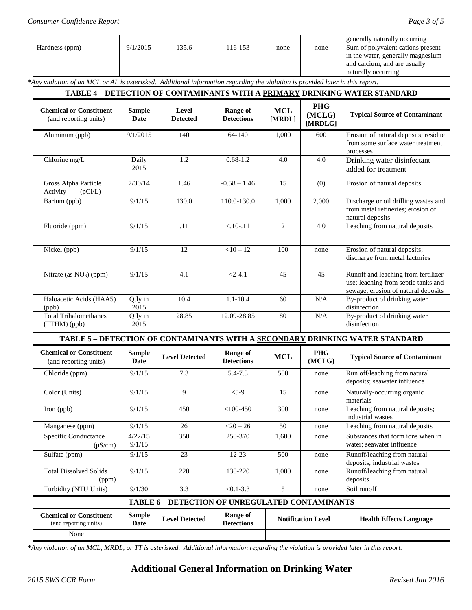|                |          |       |         |      |      | generally naturally occurring     |
|----------------|----------|-------|---------|------|------|-----------------------------------|
| Hardness (ppm) | 9/1/2015 | 135.6 | 116-153 | none | none | Sum of polyvalent cations present |
|                |          |       |         |      |      | in the water, generally magnesium |
|                |          |       |         |      |      | and calcium, and are usually      |
|                |          |       |         |      |      | naturally occurring               |

**\****Any violation of an MCL or AL is asterisked. Additional information regarding the violation is provided later in this report.*

| <b>PHG</b><br><b>MCL</b><br><b>Chemical or Constituent</b><br><b>Range of</b><br><b>Sample</b><br>Level<br>(MCLG)<br><b>Typical Source of Contaminant</b><br>(and reporting units)<br><b>Date</b><br><b>Detections</b><br><b>Detected</b><br>[MRDL]<br>[MRDLG]<br>9/1/2015<br>64-140<br>Erosion of natural deposits; residue<br>Aluminum (ppb)<br>140<br>1,000<br>600<br>from some surface water treatment<br>processes<br>Chlorine mg/L<br>1.2<br>$0.68 - 1.2$<br>Drinking water disinfectant<br>Daily<br>4.0<br>4.0<br>2015<br>added for treatment<br>Gross Alpha Particle<br>7/30/14<br>1.46<br>$-0.58 - 1.46$<br>15<br>(0)<br>Erosion of natural deposits<br>Activity<br>(pCi/L)<br>Discharge or oil drilling wastes and<br>130.0<br>110.0-130.0<br>1,000<br>Barium (ppb)<br>9/1/15<br>2,000<br>from metal refineries; erosion of<br>natural deposits<br>Leaching from natural deposits<br>9/1/15<br>.11<br>$< .10-.11$<br>2<br>4.0<br>Fluoride (ppm)<br>12<br>$<10-12$<br>100<br>Erosion of natural deposits;<br>Nickel (ppb)<br>9/1/15<br>none<br>discharge from metal factories<br>Runoff and leaching from fertilizer<br>Nitrate (as NO <sub>3</sub> ) (ppm)<br>9/1/15<br>4.1<br>$<2-4.1$<br>45<br>45<br>use; leaching from septic tanks and<br>sewage; erosion of natural deposits<br>$1.1 - 10.4$<br>By-product of drinking water<br>Haloacetic Acids (HAA5)<br>10.4<br>N/A<br>Qtly in<br>60<br>disinfection<br>2015<br>(ppb)<br><b>Total Trihalomethanes</b><br>By-product of drinking water<br>28.85<br>80<br>$\rm N/A$<br>12.09-28.85<br>Qtly in<br>disinfection<br>(TTHM) (ppb)<br>2015<br>TABLE 5 - DETECTION OF CONTAMINANTS WITH A SECONDARY DRINKING WATER STANDARD<br><b>Chemical or Constituent</b><br>Range of<br><b>PHG</b><br><b>Sample</b><br><b>MCL</b><br><b>Level Detected</b><br><b>Typical Source of Contaminant</b><br><b>Date</b><br><b>Detections</b><br>(MCLG)<br>(and reporting units)<br>9/1/15<br>7.3<br>5.4-7.3<br>Run off/leaching from natural<br>Chloride (ppm)<br>500<br>none<br>deposits; seawater influence<br>9<br>Naturally-occurring organic<br>Color (Units)<br>9/1/15<br>$< 5 - 9$<br>15<br>none<br>materials<br>Leaching from natural deposits;<br>Iron (ppb)<br>$<$ 100-450<br>9/1/15<br>450<br>300<br>none<br>industrial wastes<br>26<br>50<br>Leaching from natural deposits<br>Manganese (ppm)<br>9/1/15<br>$<20 - 26$<br>none<br>Specific Conductance<br>4/22/15<br>350<br>250-370<br>1,600<br>none<br>Substances that form ions when in<br>9/1/15<br>water; seawater influence<br>$(\mu S/cm)$<br>9/1/15<br>23<br>$12 - 23$<br>Runoff/leaching from natural<br>Sulfate (ppm)<br>500<br>none<br>deposits; industrial wastes<br><b>Total Dissolved Solids</b><br>Runoff/leaching from natural<br>9/1/15<br>220<br>130-220<br>1,000<br>none<br>deposits<br>(ppm)<br>Soil runoff<br>Turbidity (NTU Units)<br>9/1/30<br>3.3<br>$< 0.1 - 3.3$<br>5<br>none<br>TABLE 6 - DETECTION OF UNREGULATED CONTAMINANTS<br><b>Chemical or Constituent</b><br><b>Sample</b><br><b>Range of</b><br><b>Level Detected</b><br><b>Notification Level</b><br><b>Health Effects Language</b><br><b>Date</b><br><b>Detections</b><br>(and reporting units)<br>None | TABLE 4 - DETECTION OF CONTAMINANTS WITH A PRIMARY DRINKING WATER STANDARD |  |  |  |  |  |  |  |
|---------------------------------------------------------------------------------------------------------------------------------------------------------------------------------------------------------------------------------------------------------------------------------------------------------------------------------------------------------------------------------------------------------------------------------------------------------------------------------------------------------------------------------------------------------------------------------------------------------------------------------------------------------------------------------------------------------------------------------------------------------------------------------------------------------------------------------------------------------------------------------------------------------------------------------------------------------------------------------------------------------------------------------------------------------------------------------------------------------------------------------------------------------------------------------------------------------------------------------------------------------------------------------------------------------------------------------------------------------------------------------------------------------------------------------------------------------------------------------------------------------------------------------------------------------------------------------------------------------------------------------------------------------------------------------------------------------------------------------------------------------------------------------------------------------------------------------------------------------------------------------------------------------------------------------------------------------------------------------------------------------------------------------------------------------------------------------------------------------------------------------------------------------------------------------------------------------------------------------------------------------------------------------------------------------------------------------------------------------------------------------------------------------------------------------------------------------------------------------------------------------------------------------------------------------------------------------------------------------------------------------------------------------------------------------------------------------------------------------------------------------------------------------------------------------------------------------------------------------------------------------------------------------------------------------------------------------------------------------------------------------------------------------------------------------------------------------------------------------------------------------------------------------------------------------------------------|----------------------------------------------------------------------------|--|--|--|--|--|--|--|
|                                                                                                                                                                                                                                                                                                                                                                                                                                                                                                                                                                                                                                                                                                                                                                                                                                                                                                                                                                                                                                                                                                                                                                                                                                                                                                                                                                                                                                                                                                                                                                                                                                                                                                                                                                                                                                                                                                                                                                                                                                                                                                                                                                                                                                                                                                                                                                                                                                                                                                                                                                                                                                                                                                                                                                                                                                                                                                                                                                                                                                                                                                                                                                                                   |                                                                            |  |  |  |  |  |  |  |
|                                                                                                                                                                                                                                                                                                                                                                                                                                                                                                                                                                                                                                                                                                                                                                                                                                                                                                                                                                                                                                                                                                                                                                                                                                                                                                                                                                                                                                                                                                                                                                                                                                                                                                                                                                                                                                                                                                                                                                                                                                                                                                                                                                                                                                                                                                                                                                                                                                                                                                                                                                                                                                                                                                                                                                                                                                                                                                                                                                                                                                                                                                                                                                                                   |                                                                            |  |  |  |  |  |  |  |
|                                                                                                                                                                                                                                                                                                                                                                                                                                                                                                                                                                                                                                                                                                                                                                                                                                                                                                                                                                                                                                                                                                                                                                                                                                                                                                                                                                                                                                                                                                                                                                                                                                                                                                                                                                                                                                                                                                                                                                                                                                                                                                                                                                                                                                                                                                                                                                                                                                                                                                                                                                                                                                                                                                                                                                                                                                                                                                                                                                                                                                                                                                                                                                                                   |                                                                            |  |  |  |  |  |  |  |
|                                                                                                                                                                                                                                                                                                                                                                                                                                                                                                                                                                                                                                                                                                                                                                                                                                                                                                                                                                                                                                                                                                                                                                                                                                                                                                                                                                                                                                                                                                                                                                                                                                                                                                                                                                                                                                                                                                                                                                                                                                                                                                                                                                                                                                                                                                                                                                                                                                                                                                                                                                                                                                                                                                                                                                                                                                                                                                                                                                                                                                                                                                                                                                                                   |                                                                            |  |  |  |  |  |  |  |
|                                                                                                                                                                                                                                                                                                                                                                                                                                                                                                                                                                                                                                                                                                                                                                                                                                                                                                                                                                                                                                                                                                                                                                                                                                                                                                                                                                                                                                                                                                                                                                                                                                                                                                                                                                                                                                                                                                                                                                                                                                                                                                                                                                                                                                                                                                                                                                                                                                                                                                                                                                                                                                                                                                                                                                                                                                                                                                                                                                                                                                                                                                                                                                                                   |                                                                            |  |  |  |  |  |  |  |
|                                                                                                                                                                                                                                                                                                                                                                                                                                                                                                                                                                                                                                                                                                                                                                                                                                                                                                                                                                                                                                                                                                                                                                                                                                                                                                                                                                                                                                                                                                                                                                                                                                                                                                                                                                                                                                                                                                                                                                                                                                                                                                                                                                                                                                                                                                                                                                                                                                                                                                                                                                                                                                                                                                                                                                                                                                                                                                                                                                                                                                                                                                                                                                                                   |                                                                            |  |  |  |  |  |  |  |
|                                                                                                                                                                                                                                                                                                                                                                                                                                                                                                                                                                                                                                                                                                                                                                                                                                                                                                                                                                                                                                                                                                                                                                                                                                                                                                                                                                                                                                                                                                                                                                                                                                                                                                                                                                                                                                                                                                                                                                                                                                                                                                                                                                                                                                                                                                                                                                                                                                                                                                                                                                                                                                                                                                                                                                                                                                                                                                                                                                                                                                                                                                                                                                                                   |                                                                            |  |  |  |  |  |  |  |
|                                                                                                                                                                                                                                                                                                                                                                                                                                                                                                                                                                                                                                                                                                                                                                                                                                                                                                                                                                                                                                                                                                                                                                                                                                                                                                                                                                                                                                                                                                                                                                                                                                                                                                                                                                                                                                                                                                                                                                                                                                                                                                                                                                                                                                                                                                                                                                                                                                                                                                                                                                                                                                                                                                                                                                                                                                                                                                                                                                                                                                                                                                                                                                                                   |                                                                            |  |  |  |  |  |  |  |
|                                                                                                                                                                                                                                                                                                                                                                                                                                                                                                                                                                                                                                                                                                                                                                                                                                                                                                                                                                                                                                                                                                                                                                                                                                                                                                                                                                                                                                                                                                                                                                                                                                                                                                                                                                                                                                                                                                                                                                                                                                                                                                                                                                                                                                                                                                                                                                                                                                                                                                                                                                                                                                                                                                                                                                                                                                                                                                                                                                                                                                                                                                                                                                                                   |                                                                            |  |  |  |  |  |  |  |
|                                                                                                                                                                                                                                                                                                                                                                                                                                                                                                                                                                                                                                                                                                                                                                                                                                                                                                                                                                                                                                                                                                                                                                                                                                                                                                                                                                                                                                                                                                                                                                                                                                                                                                                                                                                                                                                                                                                                                                                                                                                                                                                                                                                                                                                                                                                                                                                                                                                                                                                                                                                                                                                                                                                                                                                                                                                                                                                                                                                                                                                                                                                                                                                                   |                                                                            |  |  |  |  |  |  |  |
|                                                                                                                                                                                                                                                                                                                                                                                                                                                                                                                                                                                                                                                                                                                                                                                                                                                                                                                                                                                                                                                                                                                                                                                                                                                                                                                                                                                                                                                                                                                                                                                                                                                                                                                                                                                                                                                                                                                                                                                                                                                                                                                                                                                                                                                                                                                                                                                                                                                                                                                                                                                                                                                                                                                                                                                                                                                                                                                                                                                                                                                                                                                                                                                                   |                                                                            |  |  |  |  |  |  |  |
|                                                                                                                                                                                                                                                                                                                                                                                                                                                                                                                                                                                                                                                                                                                                                                                                                                                                                                                                                                                                                                                                                                                                                                                                                                                                                                                                                                                                                                                                                                                                                                                                                                                                                                                                                                                                                                                                                                                                                                                                                                                                                                                                                                                                                                                                                                                                                                                                                                                                                                                                                                                                                                                                                                                                                                                                                                                                                                                                                                                                                                                                                                                                                                                                   |                                                                            |  |  |  |  |  |  |  |
|                                                                                                                                                                                                                                                                                                                                                                                                                                                                                                                                                                                                                                                                                                                                                                                                                                                                                                                                                                                                                                                                                                                                                                                                                                                                                                                                                                                                                                                                                                                                                                                                                                                                                                                                                                                                                                                                                                                                                                                                                                                                                                                                                                                                                                                                                                                                                                                                                                                                                                                                                                                                                                                                                                                                                                                                                                                                                                                                                                                                                                                                                                                                                                                                   |                                                                            |  |  |  |  |  |  |  |
|                                                                                                                                                                                                                                                                                                                                                                                                                                                                                                                                                                                                                                                                                                                                                                                                                                                                                                                                                                                                                                                                                                                                                                                                                                                                                                                                                                                                                                                                                                                                                                                                                                                                                                                                                                                                                                                                                                                                                                                                                                                                                                                                                                                                                                                                                                                                                                                                                                                                                                                                                                                                                                                                                                                                                                                                                                                                                                                                                                                                                                                                                                                                                                                                   |                                                                            |  |  |  |  |  |  |  |
|                                                                                                                                                                                                                                                                                                                                                                                                                                                                                                                                                                                                                                                                                                                                                                                                                                                                                                                                                                                                                                                                                                                                                                                                                                                                                                                                                                                                                                                                                                                                                                                                                                                                                                                                                                                                                                                                                                                                                                                                                                                                                                                                                                                                                                                                                                                                                                                                                                                                                                                                                                                                                                                                                                                                                                                                                                                                                                                                                                                                                                                                                                                                                                                                   |                                                                            |  |  |  |  |  |  |  |
|                                                                                                                                                                                                                                                                                                                                                                                                                                                                                                                                                                                                                                                                                                                                                                                                                                                                                                                                                                                                                                                                                                                                                                                                                                                                                                                                                                                                                                                                                                                                                                                                                                                                                                                                                                                                                                                                                                                                                                                                                                                                                                                                                                                                                                                                                                                                                                                                                                                                                                                                                                                                                                                                                                                                                                                                                                                                                                                                                                                                                                                                                                                                                                                                   |                                                                            |  |  |  |  |  |  |  |
|                                                                                                                                                                                                                                                                                                                                                                                                                                                                                                                                                                                                                                                                                                                                                                                                                                                                                                                                                                                                                                                                                                                                                                                                                                                                                                                                                                                                                                                                                                                                                                                                                                                                                                                                                                                                                                                                                                                                                                                                                                                                                                                                                                                                                                                                                                                                                                                                                                                                                                                                                                                                                                                                                                                                                                                                                                                                                                                                                                                                                                                                                                                                                                                                   |                                                                            |  |  |  |  |  |  |  |
|                                                                                                                                                                                                                                                                                                                                                                                                                                                                                                                                                                                                                                                                                                                                                                                                                                                                                                                                                                                                                                                                                                                                                                                                                                                                                                                                                                                                                                                                                                                                                                                                                                                                                                                                                                                                                                                                                                                                                                                                                                                                                                                                                                                                                                                                                                                                                                                                                                                                                                                                                                                                                                                                                                                                                                                                                                                                                                                                                                                                                                                                                                                                                                                                   |                                                                            |  |  |  |  |  |  |  |
|                                                                                                                                                                                                                                                                                                                                                                                                                                                                                                                                                                                                                                                                                                                                                                                                                                                                                                                                                                                                                                                                                                                                                                                                                                                                                                                                                                                                                                                                                                                                                                                                                                                                                                                                                                                                                                                                                                                                                                                                                                                                                                                                                                                                                                                                                                                                                                                                                                                                                                                                                                                                                                                                                                                                                                                                                                                                                                                                                                                                                                                                                                                                                                                                   |                                                                            |  |  |  |  |  |  |  |
|                                                                                                                                                                                                                                                                                                                                                                                                                                                                                                                                                                                                                                                                                                                                                                                                                                                                                                                                                                                                                                                                                                                                                                                                                                                                                                                                                                                                                                                                                                                                                                                                                                                                                                                                                                                                                                                                                                                                                                                                                                                                                                                                                                                                                                                                                                                                                                                                                                                                                                                                                                                                                                                                                                                                                                                                                                                                                                                                                                                                                                                                                                                                                                                                   |                                                                            |  |  |  |  |  |  |  |
|                                                                                                                                                                                                                                                                                                                                                                                                                                                                                                                                                                                                                                                                                                                                                                                                                                                                                                                                                                                                                                                                                                                                                                                                                                                                                                                                                                                                                                                                                                                                                                                                                                                                                                                                                                                                                                                                                                                                                                                                                                                                                                                                                                                                                                                                                                                                                                                                                                                                                                                                                                                                                                                                                                                                                                                                                                                                                                                                                                                                                                                                                                                                                                                                   |                                                                            |  |  |  |  |  |  |  |
|                                                                                                                                                                                                                                                                                                                                                                                                                                                                                                                                                                                                                                                                                                                                                                                                                                                                                                                                                                                                                                                                                                                                                                                                                                                                                                                                                                                                                                                                                                                                                                                                                                                                                                                                                                                                                                                                                                                                                                                                                                                                                                                                                                                                                                                                                                                                                                                                                                                                                                                                                                                                                                                                                                                                                                                                                                                                                                                                                                                                                                                                                                                                                                                                   |                                                                            |  |  |  |  |  |  |  |
|                                                                                                                                                                                                                                                                                                                                                                                                                                                                                                                                                                                                                                                                                                                                                                                                                                                                                                                                                                                                                                                                                                                                                                                                                                                                                                                                                                                                                                                                                                                                                                                                                                                                                                                                                                                                                                                                                                                                                                                                                                                                                                                                                                                                                                                                                                                                                                                                                                                                                                                                                                                                                                                                                                                                                                                                                                                                                                                                                                                                                                                                                                                                                                                                   |                                                                            |  |  |  |  |  |  |  |

**\****Any violation of an MCL, MRDL, or TT is asterisked. Additional information regarding the violation is provided later in this report.*

# **Additional General Information on Drinking Water**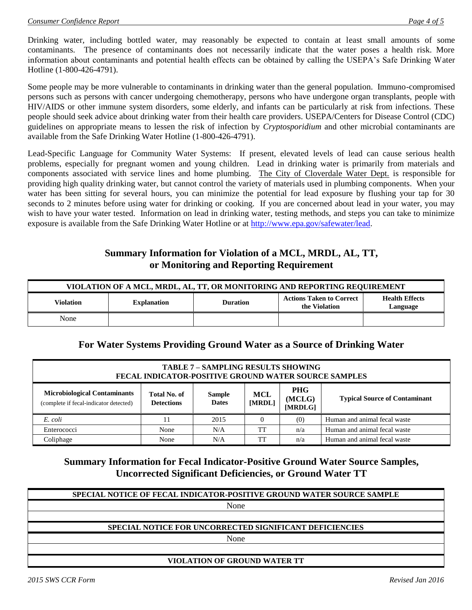Drinking water, including bottled water, may reasonably be expected to contain at least small amounts of some contaminants. The presence of contaminants does not necessarily indicate that the water poses a health risk. More information about contaminants and potential health effects can be obtained by calling the USEPA's Safe Drinking Water Hotline (1-800-426-4791).

Some people may be more vulnerable to contaminants in drinking water than the general population. Immuno-compromised persons such as persons with cancer undergoing chemotherapy, persons who have undergone organ transplants, people with HIV/AIDS or other immune system disorders, some elderly, and infants can be particularly at risk from infections. These people should seek advice about drinking water from their health care providers. USEPA/Centers for Disease Control (CDC) guidelines on appropriate means to lessen the risk of infection by *Cryptosporidium* and other microbial contaminants are available from the Safe Drinking Water Hotline (1-800-426-4791).

Lead-Specific Language for Community Water Systems: If present, elevated levels of lead can cause serious health problems, especially for pregnant women and young children. Lead in drinking water is primarily from materials and components associated with service lines and home plumbing. The City of Cloverdale Water Dept. is responsible for providing high quality drinking water, but cannot control the variety of materials used in plumbing components. When your water has been sitting for several hours, you can minimize the potential for lead exposure by flushing your tap for 30 seconds to 2 minutes before using water for drinking or cooking. If you are concerned about lead in your water, you may wish to have your water tested. Information on lead in drinking water, testing methods, and steps you can take to minimize exposure is available from the Safe Drinking Water Hotline or at [http://www.epa.gov/safewater/lead.](http://www.epa.gov/safewater/lead)

# **Summary Information for Violation of a MCL, MRDL, AL, TT, or Monitoring and Reporting Requirement**

| VIOLATION OF A MCL, MRDL, AL, TT, OR MONITORING AND REPORTING REQUIREMENT |                                                  |                                   |  |  |  |  |  |
|---------------------------------------------------------------------------|--------------------------------------------------|-----------------------------------|--|--|--|--|--|
| Violation                                                                 | <b>Actions Taken to Correct</b><br>the Violation | <b>Health Effects</b><br>Language |  |  |  |  |  |
| None                                                                      |                                                  |                                   |  |  |  |  |  |

### **For Water Systems Providing Ground Water as a Source of Drinking Water**

| <b>TABLE 7 - SAMPLING RESULTS SHOWING</b><br><b>FECAL INDICATOR-POSITIVE GROUND WATER SOURCE SAMPLES</b>                                                                                                       |      |      |    |     |                                      |  |  |
|----------------------------------------------------------------------------------------------------------------------------------------------------------------------------------------------------------------|------|------|----|-----|--------------------------------------|--|--|
| <b>PHG</b><br><b>Microbiological Contaminants</b><br>Total No. of<br><b>MCL</b><br><b>Sample</b><br>(MCLG)<br><b>Dates</b><br><b>Detections</b><br>[MRDL]<br>(complete if fecal-indicator detected)<br>[MRDLG] |      |      |    |     | <b>Typical Source of Contaminant</b> |  |  |
| E. coli                                                                                                                                                                                                        | 11   | 2015 |    | (0) | Human and animal fecal waste         |  |  |
| Enterococci                                                                                                                                                                                                    | None | N/A  | TT | n/a | Human and animal fecal waste         |  |  |
| Coliphage                                                                                                                                                                                                      | None | N/A  | TT | n/a | Human and animal fecal waste         |  |  |

### **Summary Information for Fecal Indicator-Positive Ground Water Source Samples, Uncorrected Significant Deficiencies, or Ground Water TT**

| <b>SPECIAL NOTICE OF FECAL INDICATOR-POSITIVE GROUND WATER SOURCE SAMPLE</b> |
|------------------------------------------------------------------------------|
| None                                                                         |
|                                                                              |
| SPECIAL NOTICE FOR UNCORRECTED SIGNIFICANT DEFICIENCIES                      |
| None                                                                         |
|                                                                              |
| VIOL A TION OF CROUND WATER TT                                               |

**VIOLATION OF GROUND WATER TT**